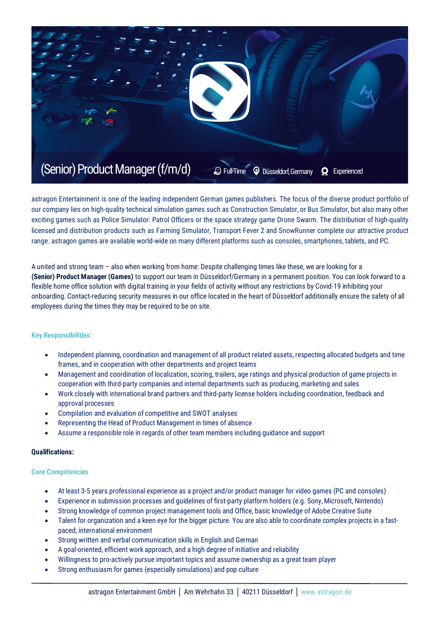

astragon Entertainment is one of the leading independent German games publishers. The focus of the diverse product portfolio of our company lies on high-quality technical simulation games such as Construction Simulator, or Bus Simulator, but also many other exciting games such as Police Simulator: Patrol Officers or the space strategy game Drone Swarm. The distribution of high-quality licensed and distribution products such as Farming Simulator, Transport Fever 2 and SnowRunner complete our attractive product range. astragon games are available world-wide on many different platforms such as consoles, smartphones, tablets, and PC.

A united and strong team – also when working from home: Despite challenging times like these, we are looking for a **(Senior) Product Manager (Games)** to support our team in Düsseldorf/Germany in a permanent position. You can look forward to a flexible home office solution with digital training in your fields of activity without any restrictions by Covid-19 inhibiting your onboarding. Contact-reducing security measures in our office located in the heart of Düsseldorf additionally ensure the safety of all employees during the times they may be required to be on site.

## **Key Responsibilities:**

- Independent planning, coordination and management of all product related assets, respecting allocated budgets and time frames, and in cooperation with other departments and project teams
- Management and coordination of localization, scoring, trailers, age ratings and physical production of game projects in cooperation with third-party companies and internal departments such as producing, marketing and sales
- Work closely with international brand partners and third-party license holders including coordination, feedback and approval processes
- Compilation and evaluation of competitive and SWOT analyses
- Representing the Head of Product Management in times of absence
- Assume a responsible role in regards of other team members including guidance and support

## **Qualifications:**

## **Core Competencies**

- At least 3-5 years professional experience as a project and/or product manager for video games (PC and consoles)
- Experience in submission processes and guidelines of first-party platform holders (e.g. Sony, Microsoft, Nintendo)
- Strong knowledge of common project management tools and Office, basic knowledge of Adobe Creative Suite
- Talent for organization and a keen eye for the bigger picture. You are also able to coordinate complex projects in a fastpaced, international environment
- Strong written and verbal communication skills in English and German
- A goal-oriented, efficient work approach, and a high degree of initiative and reliability
- Willingness to pro-actively pursue important topics and assume ownership as a great team player
- Strong enthusiasm for games (especially simulations) and pop culture